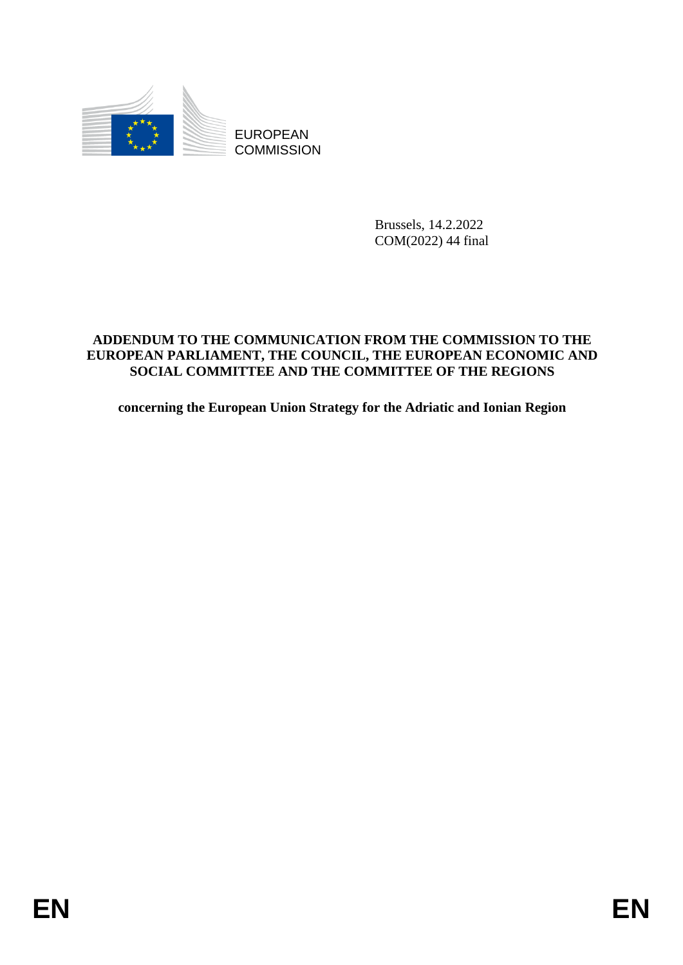

**COMMISSION** 

Brussels, 14.2.2022 COM(2022) 44 final

# EUROPEAN TO THE COMMISSION<br>
EUROPEAN PTHE COMMINICATION PROMITIVE COMMISSION TO THE<br>
EUROPEAN PARLAMENT, THE CONNOTICE THE EUROPEAN ECONOMIC AND<br>
SOCIAL CONDITITIES AND THE CONDITITIES OF THE REGIONS<br>
concerning the Europe **ADDENDUM TO THE COMMUNICATION FROM THE COMMISSION TO THE EUROPEAN PARLIAMENT, THE COUNCIL, THE EUROPEAN ECONOMIC AND SOCIAL COMMITTEE AND THE COMMITTEE OF THE REGIONS**

**concerning the European Union Strategy for the Adriatic and Ionian Region**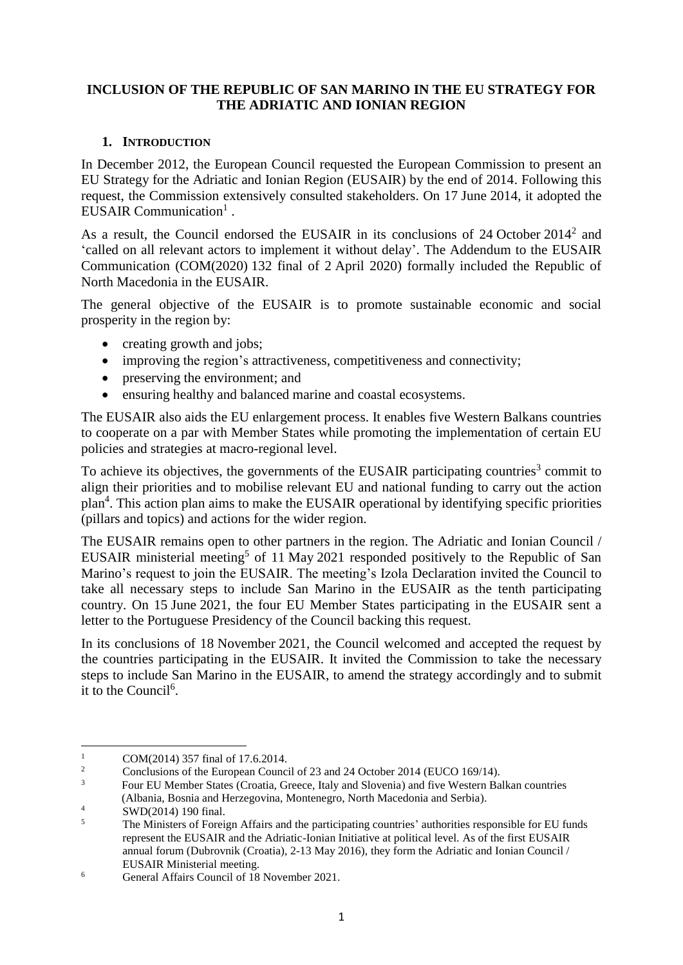# **INCLUSION OF THE REPUBLIC OF SAN MARINO IN THE EU STRATEGY FOR THE ADRIATIC AND IONIAN REGION**

### **1. INTRODUCTION**

In December 2012, the European Council requested the European Commission to present an EU Strategy for the Adriatic and Ionian Region (EUSAIR) by the end of 2014. Following this request, the Commission extensively consulted stakeholders. On 17 June 2014, it adopted the EUSAIR Communication<sup>1</sup>.

As a result, the Council endorsed the EUSAIR in its conclusions of  $24$  October  $2014^2$  and 'called on all relevant actors to implement it without delay'. The Addendum to the EUSAIR Communication (COM(2020) 132 final of 2 April 2020) formally included the Republic of North Macedonia in the EUSAIR.

The general objective of the EUSAIR is to promote sustainable economic and social prosperity in the region by:

- creating growth and jobs;
- improving the region's attractiveness, competitiveness and connectivity;
- preserving the environment; and
- ensuring healthy and balanced marine and coastal ecosystems.

The EUSAIR also aids the EU enlargement process. It enables five Western Balkans countries to cooperate on a par with Member States while promoting the implementation of certain EU policies and strategies at macro-regional level.

To achieve its objectives, the governments of the EUSAIR participating countries<sup>3</sup> commit to align their priorities and to mobilise relevant EU and national funding to carry out the action plan<sup>4</sup>. This action plan aims to make the EUSAIR operational by identifying specific priorities (pillars and topics) and actions for the wider region.

The EUSAIR remains open to other partners in the region. The Adriatic and Ionian Council / EUSAIR ministerial meeting<sup>5</sup> of 11 May 2021 responded positively to the Republic of San Marino's request to join the EUSAIR. The meeting's Izola Declaration invited the Council to take all necessary steps to include San Marino in the EUSAIR as the tenth participating country. On 15 June 2021, the four EU Member States participating in the EUSAIR sent a letter to the Portuguese Presidency of the Council backing this request.

In its conclusions of 18 November 2021, the Council welcomed and accepted the request by the countries participating in the EUSAIR. It invited the Commission to take the necessary steps to include San Marino in the EUSAIR, to amend the strategy accordingly and to submit it to the Council<sup>6</sup>.

 $\,1\,$ <sup>1</sup> COM(2014) 357 final of 17.6.2014.

<sup>&</sup>lt;sup>2</sup> Conclusions of the European Council of 23 and 24 October 2014 (EUCO 169/14).

<sup>3</sup> Four EU Member States (Croatia, Greece, Italy and Slovenia) and five Western Balkan countries (Albania, Bosnia and Herzegovina, Montenegro, North Macedonia and Serbia).

 $\frac{4}{5}$  SWD(2014) 190 final.

<sup>5</sup> The Ministers of Foreign Affairs and the participating countries' authorities responsible for EU funds represent the EUSAIR and the Adriatic-Ionian Initiative at political level. As of the first EUSAIR annual forum (Dubrovnik (Croatia), 2-13 May 2016), they form the Adriatic and Ionian Council / EUSAIR Ministerial meeting.

<sup>6</sup> General Affairs Council of 18 November 2021.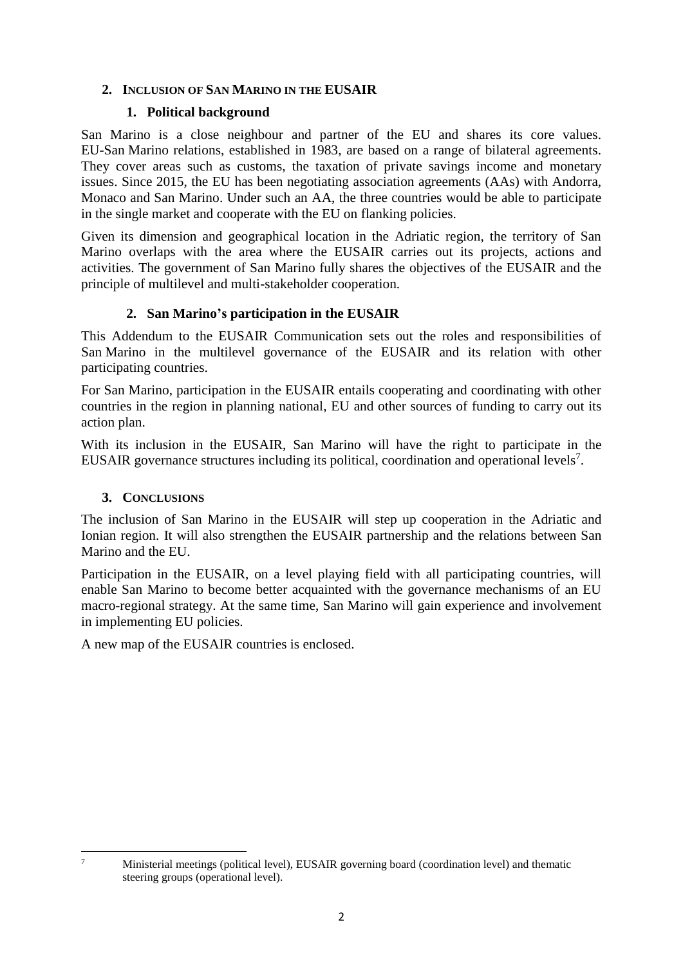# **2. INCLUSION OF SAN MARINO IN THE EUSAIR**

# **1. Political background**

San Marino is a close neighbour and partner of the EU and shares its core values. EU-San Marino relations, established in 1983, are based on a range of bilateral agreements. They cover areas such as customs, the taxation of private savings income and monetary issues. Since 2015, the EU has been negotiating association agreements (AAs) with Andorra, Monaco and San Marino. Under such an AA, the three countries would be able to participate in the single market and cooperate with the EU on flanking policies.

Given its dimension and geographical location in the Adriatic region, the territory of San Marino overlaps with the area where the EUSAIR carries out its projects, actions and activities. The government of San Marino fully shares the objectives of the EUSAIR and the principle of multilevel and multi-stakeholder cooperation.

# **2. San Marino's participation in the EUSAIR**

This Addendum to the EUSAIR Communication sets out the roles and responsibilities of San Marino in the multilevel governance of the EUSAIR and its relation with other participating countries.

For San Marino, participation in the EUSAIR entails cooperating and coordinating with other countries in the region in planning national, EU and other sources of funding to carry out its action plan.

With its inclusion in the EUSAIR, San Marino will have the right to participate in the EUSAIR governance structures including its political, coordination and operational levels<sup>7</sup>.

### **3. CONCLUSIONS**

The inclusion of San Marino in the EUSAIR will step up cooperation in the Adriatic and Ionian region. It will also strengthen the EUSAIR partnership and the relations between San Marino and the EU.

Participation in the EUSAIR, on a level playing field with all participating countries, will enable San Marino to become better acquainted with the governance mechanisms of an EU macro-regional strategy. At the same time, San Marino will gain experience and involvement in implementing EU policies.

A new map of the EUSAIR countries is enclosed.

 $\tau$ 

<sup>7</sup> Ministerial meetings (political level), EUSAIR governing board (coordination level) and thematic steering groups (operational level).